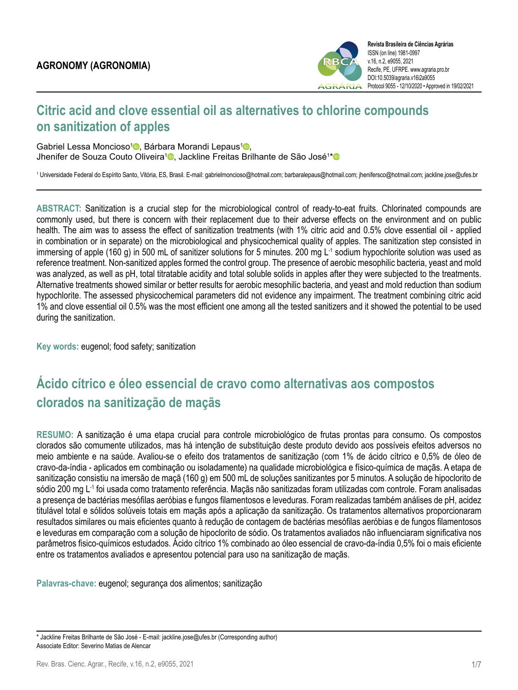

# **Citric acid and clove essential oil as alternatives to chlorine compounds on sanitization of apples**

Gabriel Lessa Moncioso<sup>[1](https://orcid.org/0000-0001-7855-9312)</sup><sup>®</sup>[,](https://orcid.org/0000-0002-0074-7943) Bárbara Morandi Lepaus<sup>1</sup><sup>®</sup>, Jhenifer de Souza Couto Oliveira<sup>[1](https://orcid.org/0000-0002-4064-7912)</sup>®, Jackline Freitas Brilhante de São José<sup>1[\\*](https://orcid.org/0000-0002-6592-5560)</sup>

1 Universidade Federal do Espírito Santo, Vitória, ES, Brasil. E-mail: gabrielmoncioso@hotmail.com; barbaralepaus@hotmail.com; jhenifersco@hotmail.com; jackline.jose@ufes.br

**ABSTRACT:** Sanitization is a crucial step for the microbiological control of ready-to-eat fruits. Chlorinated compounds are commonly used, but there is concern with their replacement due to their adverse effects on the environment and on public health. The aim was to assess the effect of sanitization treatments (with 1% citric acid and 0.5% clove essential oil - applied in combination or in separate) on the microbiological and physicochemical quality of apples. The sanitization step consisted in immersing of apple (160 g) in 500 mL of sanitizer solutions for 5 minutes. 200 mg L<sup>-1</sup> sodium hypochlorite solution was used as reference treatment. Non-sanitized apples formed the control group. The presence of aerobic mesophilic bacteria, yeast and mold was analyzed, as well as pH, total titratable acidity and total soluble solids in apples after they were subjected to the treatments. Alternative treatments showed similar or better results for aerobic mesophilic bacteria, and yeast and mold reduction than sodium hypochlorite. The assessed physicochemical parameters did not evidence any impairment. The treatment combining citric acid 1% and clove essential oil 0.5% was the most efficient one among all the tested sanitizers and it showed the potential to be used during the sanitization.

**Key words:** eugenol; food safety; sanitization

# **Ácido cítrico e óleo essencial de cravo como alternativas aos compostos clorados na sanitização de maçãs**

**RESUMO:** A sanitização é uma etapa crucial para controle microbiológico de frutas prontas para consumo. Os compostos clorados são comumente utilizados, mas há intenção de substituição deste produto devido aos possíveis efeitos adversos no meio ambiente e na saúde. Avaliou-se o efeito dos tratamentos de sanitização (com 1% de ácido cítrico e 0,5% de óleo de cravo-da-índia - aplicados em combinação ou isoladamente) na qualidade microbiológica e físico-química de maçãs. A etapa de sanitização consistiu na imersão de maçã (160 g) em 500 mL de soluções sanitizantes por 5 minutos. A solução de hipoclorito de sódio 200 mg L<sup>-1</sup> foi usada como tratamento referência. Maçãs não sanitizadas foram utilizadas com controle. Foram analisadas a presença de bactérias mesófilas aeróbias e fungos filamentosos e leveduras. Foram realizadas também análises de pH, acidez titulável total e sólidos solúveis totais em maçãs após a aplicação da sanitização. Os tratamentos alternativos proporcionaram resultados similares ou mais eficientes quanto à redução de contagem de bactérias mesófilas aeróbias e de fungos filamentosos e leveduras em comparação com a solução de hipoclorito de sódio. Os tratamentos avaliados não influenciaram significativa nos parâmetros fisico-químicos estudados. Ácido cítrico 1% combinado ao óleo essencial de cravo-da-índia 0,5% foi o mais eficiente entre os tratamentos avaliados e apresentou potencial para uso na sanitização de maçãs.

**Palavras-chave:** eugenol; segurança dos alimentos; sanitização

<sup>\*</sup> Jackline Freitas Brilhante de São José - E-mail: jackline.jose@ufes.br (Corresponding author) Associate Editor: Severino Matias de Alencar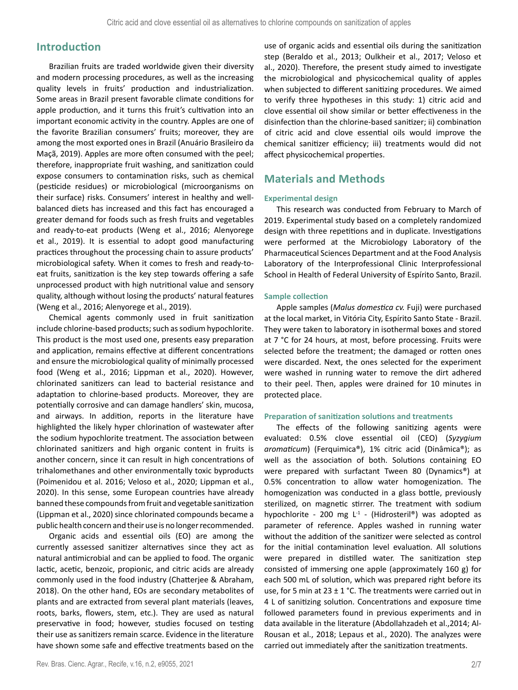# **Introduction**

Brazilian fruits are traded worldwide given their diversity and modern processing procedures, as well as the increasing quality levels in fruits' production and industrialization. Some areas in Brazil present favorable climate conditions for apple production, and it turns this fruit's cultivation into an important economic activity in the country. Apples are one of the favorite Brazilian consumers' fruits; moreover, they are among the most exported ones in Brazil (Anuário Brasileiro da Maçã, 2019). Apples are more often consumed with the peel; therefore, inappropriate fruit washing, and sanitization could expose consumers to contamination risks, such as chemical (pesticide residues) or microbiological (microorganisms on their surface) risks. Consumers' interest in healthy and wellbalanced diets has increased and this fact has encouraged a greater demand for foods such as fresh fruits and vegetables and ready-to-eat products (Weng et al., 2016; Alenyorege et al., 2019). It is essential to adopt good manufacturing practices throughout the processing chain to assure products' microbiological safety. When it comes to fresh and ready-toeat fruits, sanitization is the key step towards offering a safe unprocessed product with high nutritional value and sensory quality, although without losing the products' natural features (Weng et al., 2016; Alenyorege et al., 2019).

Chemical agents commonly used in fruit sanitization include chlorine-based products; such as sodium hypochlorite. This product is the most used one, presents easy preparation and application, remains effective at different concentrations and ensure the microbiological quality of minimally processed food (Weng et al., 2016; Lippman et al., 2020). However, chlorinated sanitizers can lead to bacterial resistance and adaptation to chlorine-based products. Moreover, they are potentially corrosive and can damage handlers' skin, mucosa, and airways. In addition, reports in the literature have highlighted the likely hyper chlorination of wastewater after the sodium hypochlorite treatment. The association between chlorinated sanitizers and high organic content in fruits is another concern, since it can result in high concentrations of trihalomethanes and other environmentally toxic byproducts (Poimenidou et al. 2016; Veloso et al., 2020; Lippman et al., 2020). In this sense, some European countries have already banned these compounds from fruit and vegetable sanitization (Lippman et al., 2020) since chlorinated compounds became a public health concern and their use is no longer recommended.

Organic acids and essential oils (EO) are among the currently assessed sanitizer alternatives since they act as natural antimicrobial and can be applied to food. The organic lactic, acetic, benzoic, propionic, and citric acids are already commonly used in the food industry (Chatterjee & Abraham, 2018). On the other hand, EOs are secondary metabolites of plants and are extracted from several plant materials (leaves, roots, barks, flowers, stem, etc.). They are used as natural preservative in food; however, studies focused on testing their use as sanitizers remain scarce. Evidence in the literature have shown some safe and effective treatments based on the

use of organic acids and essential oils during the sanitization step (Beraldo et al., 2013; Oulkheir et al., 2017; Veloso et al., 2020). Therefore, the present study aimed to investigate the microbiological and physicochemical quality of apples when subjected to different sanitizing procedures. We aimed to verify three hypotheses in this study: 1) citric acid and clove essential oil show similar or better effectiveness in the disinfection than the chlorine-based sanitizer; ii) combination of citric acid and clove essential oils would improve the chemical sanitizer efficiency; iii) treatments would did not affect physicochemical properties.

# **Materials and Methods**

## **Experimental design**

This research was conducted from February to March of 2019. Experimental study based on a completely randomized design with three repetitions and in duplicate. Investigations were performed at the Microbiology Laboratory of the Pharmaceutical Sciences Department and at the Food Analysis Laboratory of the Interprofessional Clinic Interprofessional School in Health of Federal University of Espírito Santo, Brazil.

## **Sample collection**

Apple samples (*Malus domestica cv.* Fuji) were purchased at the local market, in Vitória City, Espírito Santo State - Brazil. They were taken to laboratory in isothermal boxes and stored at 7 °C for 24 hours, at most, before processing. Fruits were selected before the treatment; the damaged or rotten ones were discarded. Next, the ones selected for the experiment were washed in running water to remove the dirt adhered to their peel. Then, apples were drained for 10 minutes in protected place.

### **Preparation of sanitization solutions and treatments**

The effects of the following sanitizing agents were evaluated: 0.5% clove essential oil (CEO) (*Syzygium aromaticum*) (Ferquimica®), 1% citric acid (Dinâmica®); as well as the association of both. Solutions containing EO were prepared with surfactant Tween 80 (Dynamics®) at 0.5% concentration to allow water homogenization. The homogenization was conducted in a glass bottle, previously sterilized, on magnetic stirrer. The treatment with sodium hypochlorite - 200 mg L<sup>-1</sup> - (Hidrosteril®) was adopted as parameter of reference. Apples washed in running water without the addition of the sanitizer were selected as control for the initial contamination level evaluation. All solutions were prepared in distilled water. The sanitization step consisted of immersing one apple (approximately 160 g) for each 500 mL of solution, which was prepared right before its use, for 5 min at 23  $\pm$  1 °C. The treatments were carried out in 4 L of sanitizing solution. Concentrations and exposure time followed parameters found in previous experiments and in data available in the literature (Abdollahzadeh et al.,2014; Al-Rousan et al., 2018; Lepaus et al., 2020). The analyzes were carried out immediately after the sanitization treatments.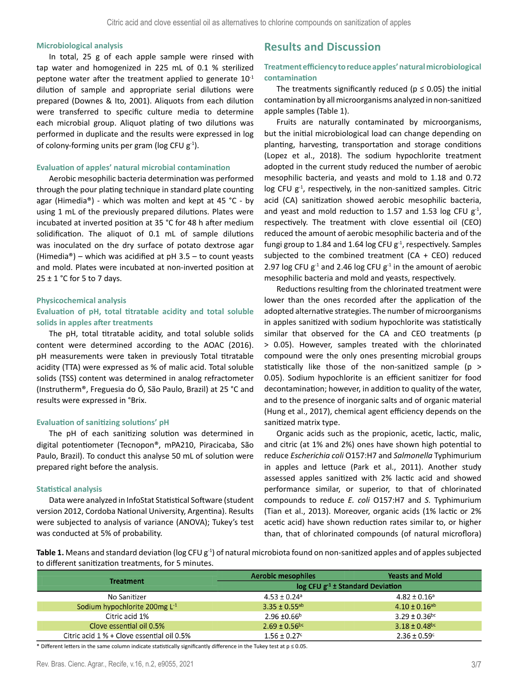#### **Microbiological analysis**

In total, 25 g of each apple sample were rinsed with tap water and homogenized in 225 mL of 0.1 % sterilized peptone water after the treatment applied to generate  $10^{-1}$ dilution of sample and appropriate serial dilutions were prepared (Downes & Ito, 2001). Aliquots from each dilution were transferred to specific culture media to determine each microbial group. Aliquot plating of two dilutions was performed in duplicate and the results were expressed in log of colony-forming units per gram (log CFU  $g^{-1}$ ).

## **Evaluation of apples' natural microbial contamination**

Aerobic mesophilic bacteria determination was performed through the pour plating technique in standard plate counting agar (Himedia®) - which was molten and kept at 45 °C - by using 1 mL of the previously prepared dilutions. Plates were incubated at inverted position at 35 °C for 48 h after medium solidification. The aliquot of 0.1 mL of sample dilutions was inoculated on the dry surface of potato dextrose agar (Himedia®) – which was acidified at  $pH$  3.5 – to count yeasts and mold. Plates were incubated at non-inverted position at  $25 \pm 1$  °C for 5 to 7 days.

#### **Physicochemical analysis**

## **Evaluation of pH, total titratable acidity and total soluble solids in apples after treatments**

The pH, total titratable acidity, and total soluble solids content were determined according to the AOAC (2016). pH measurements were taken in previously Total titratable acidity (TTA) were expressed as % of malic acid. Total soluble solids (TSS) content was determined in analog refractometer (Instrutherm®, Freguesia do Ó, São Paulo, Brazil) at 25 °C and results were expressed in °Brix.

#### **Evaluation of sanitizing solutions' pH**

The pH of each sanitizing solution was determined in digital potentiometer (Tecnopon®, mPA210, Piracicaba, São Paulo, Brazil). To conduct this analyse 50 mL of solution were prepared right before the analysis.

#### **Statistical analysis**

Data were analyzed in InfoStat Statistical Software (student version 2012, Cordoba National University, Argentina). Results were subjected to analysis of variance (ANOVA); Tukey's test was conducted at 5% of probability.

# **Results and Discussion**

# **Treatment efficiency to reduce apples' natural microbiological contamination**

The treatments significantly reduced ( $p \le 0.05$ ) the initial contamination by all microorganisms analyzed in non-sanitized apple samples (Table 1).

Fruits are naturally contaminated by microorganisms, but the initial microbiological load can change depending on planting, harvesting, transportation and storage conditions (Lopez et al., 2018). The sodium hypochlorite treatment adopted in the current study reduced the number of aerobic mesophilic bacteria, and yeasts and mold to 1.18 and 0.72 log CFU  $g^{-1}$ , respectively, in the non-sanitized samples. Citric acid (CA) sanitization showed aerobic mesophilic bacteria, and yeast and mold reduction to 1.57 and 1.53 log CFU  $g<sup>-1</sup>$ , respectively. The treatment with clove essential oil (CEO) reduced the amount of aerobic mesophilic bacteria and of the fungi group to 1.84 and 1.64 log CFU  $g<sup>-1</sup>$ , respectively. Samples subjected to the combined treatment ( $CA + CEO$ ) reduced 2.97 log CFU  $g^{-1}$  and 2.46 log CFU  $g^{-1}$  in the amount of aerobic mesophilic bacteria and mold and yeasts, respectively.

Reductions resulting from the chlorinated treatment were lower than the ones recorded after the application of the adopted alternative strategies. The number of microorganisms in apples sanitized with sodium hypochlorite was statistically similar that observed for the CA and CEO treatments (p > 0.05). However, samples treated with the chlorinated compound were the only ones presenting microbial groups statistically like those of the non-sanitized sample (p > 0.05). Sodium hypochlorite is an efficient sanitizer for food decontamination; however, in addition to quality of the water, and to the presence of inorganic salts and of organic material (Hung et al., 2017), chemical agent efficiency depends on the sanitized matrix type.

Organic acids such as the propionic, acetic, lactic, malic, and citric (at 1% and 2%) ones have shown high potential to reduce *Escherichia coli* O157:H7 and *Salmonella* Typhimurium in apples and lettuce (Park et al., 2011). Another study assessed apples sanitized with 2% lactic acid and showed performance similar, or superior, to that of chlorinated compounds to reduce *E. coli* O157:H7 and *S.* Typhimurium (Tian et al., 2013). Moreover, organic acids (1% lactic or 2% acetic acid) have shown reduction rates similar to, or higher than, that of chlorinated compounds (of natural microflora)

Table 1. Means and standard deviation (log CFU g<sup>-1</sup>) of natural microbiota found on non-sanitized apples and of apples subjected to different sanitization treatments, for 5 minutes.

| <b>Treatment</b>                           | <b>Aerobic mesophiles</b>             | <b>Yeasts and Mold</b>        |
|--------------------------------------------|---------------------------------------|-------------------------------|
|                                            | $log CFU g^{-1}$ ± Standard Deviation |                               |
| No Sanitizer                               | $4.53 \pm 0.24$ <sup>a</sup>          | $4.82 \pm 0.16$ <sup>a</sup>  |
| Sodium hypochlorite 200mg L <sup>-1</sup>  | $3.35 \pm 0.55$ <sup>ab</sup>         | $4.10 \pm 0.16$ <sup>ab</sup> |
| Citric acid 1%                             | $2.96 \pm 0.66^{\rm b}$               | $3.29 \pm 0.36$ <sup>bc</sup> |
| Clove essential oil 0.5%                   | $2.69 \pm 0.56$ <sup>bc</sup>         | $3.18 \pm 0.48$ <sub>bc</sub> |
| Citric acid 1 % + Clove essential oil 0.5% | $1.56 \pm 0.27$ c                     | $2.36 \pm 0.59$ <sup>c</sup>  |

\* Different letters in the same column indicate statistically significantly difference in the Tukey test at p ≤ 0.05.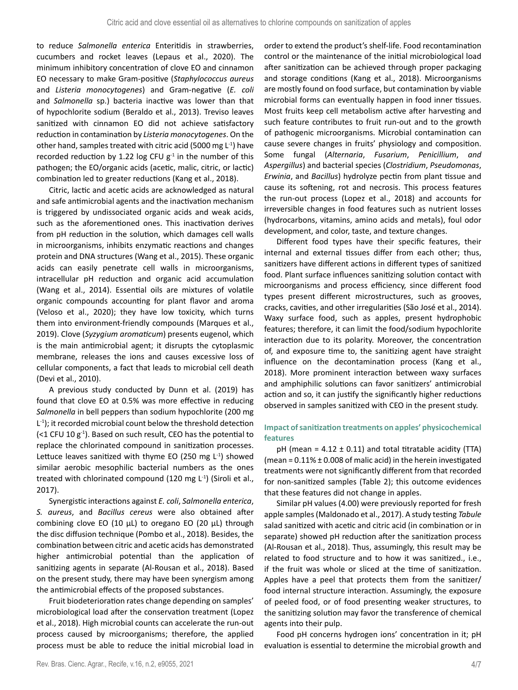to reduce *Salmonella enterica* Enteritidis in strawberries, cucumbers and rocket leaves (Lepaus et al., 2020). The minimum inhibitory concentration of clove EO and cinnamon EO necessary to make Gram-positive (*Staphylococcus aureus* and *Listeria monocytogenes*) and Gram-negative (*E. coli* and *Salmonella* sp.) bacteria inactive was lower than that of hypochlorite sodium (Beraldo et al., 2013). Treviso leaves sanitized with cinnamon EO did not achieve satisfactory reduction in contamination by *Listeria monocytogenes*. On the other hand, samples treated with citric acid (5000 mg L-1) have recorded reduction by 1.22 log CFU  $g^{-1}$  in the number of this pathogen; the EO/organic acids (acetic, malic, citric, or lactic) combination led to greater reductions (Kang et al., 2018).

Citric, lactic and acetic acids are acknowledged as natural and safe antimicrobial agents and the inactivation mechanism is triggered by undissociated organic acids and weak acids, such as the aforementioned ones. This inactivation derives from pH reduction in the solution, which damages cell walls in microorganisms, inhibits enzymatic reactions and changes protein and DNA structures (Wang et al., 2015). These organic acids can easily penetrate cell walls in microorganisms, intracellular pH reduction and organic acid accumulation (Wang et al., 2014). Essential oils are mixtures of volatile organic compounds accounting for plant flavor and aroma (Veloso et al., 2020); they have low toxicity, which turns them into environment-friendly compounds (Marques et al., 2019). Clove (*Syzygium aromaticum*) presents eugenol, which is the main antimicrobial agent; it disrupts the cytoplasmic membrane, releases the ions and causes excessive loss of cellular components, a fact that leads to microbial cell death (Devi et al., 2010).

A previous study conducted by Dunn et al. (2019) has found that clove EO at 0.5% was more effective in reducing *Salmonella* in bell peppers than sodium hypochlorite (200 mg  $L<sup>-1</sup>$ ; it recorded microbial count below the threshold detection (<1 CFU 10  $g^{-1}$ ). Based on such result, CEO has the potential to replace the chlorinated compound in sanitization processes. Lettuce leaves sanitized with thyme EO (250 mg  $L^{-1}$ ) showed similar aerobic mesophilic bacterial numbers as the ones treated with chlorinated compound (120 mg L<sup>-1</sup>) (Siroli et al., 2017).

Synergistic interactions against *E. coli*, *Salmonella enterica*, *S. aureus*, and *Bacillus cereus* were also obtained after combining clove EO (10 μL) to oregano EO (20 μL) through the disc diffusion technique (Pombo et al., 2018). Besides, the combination between citric and acetic acids has demonstrated higher antimicrobial potential than the application of sanitizing agents in separate (Al-Rousan et al., 2018). Based on the present study, there may have been synergism among the antimicrobial effects of the proposed substances.

Fruit biodeterioration rates change depending on samples' microbiological load after the conservation treatment (Lopez et al., 2018). High microbial counts can accelerate the run-out process caused by microorganisms; therefore, the applied process must be able to reduce the initial microbial load in

order to extend the product's shelf-life. Food recontamination control or the maintenance of the initial microbiological load after sanitization can be achieved through proper packaging and storage conditions (Kang et al., 2018). Microorganisms are mostly found on food surface, but contamination by viable microbial forms can eventually happen in food inner tissues. Most fruits keep cell metabolism active after harvesting and such feature contributes to fruit run-out and to the growth of pathogenic microorganisms. Microbial contamination can cause severe changes in fruits' physiology and composition. Some fungal (*Alternaria*, *Fusarium*, *Penicillium*, *and Aspergillus*) and bacterial species (*Clostridium*, *Pseudomonas*, *Erwinia*, and *Bacillus*) hydrolyze pectin from plant tissue and cause its softening, rot and necrosis. This process features the run-out process (Lopez et al., 2018) and accounts for irreversible changes in food features such as nutrient losses (hydrocarbons, vitamins, amino acids and metals), foul odor development, and color, taste, and texture changes.

Different food types have their specific features, their internal and external tissues differ from each other; thus, sanitizers have different actions in different types of sanitized food. Plant surface influences sanitizing solution contact with microorganisms and process efficiency, since different food types present different microstructures, such as grooves, cracks, cavities, and other irregularities (São José et al., 2014). Waxy surface food, such as apples, present hydrophobic features; therefore, it can limit the food/sodium hypochlorite interaction due to its polarity. Moreover, the concentration of, and exposure time to, the sanitizing agent have straight influence on the decontamination process (Kang et al., 2018). More prominent interaction between waxy surfaces and amphiphilic solutions can favor sanitizers' antimicrobial action and so, it can justify the significantly higher reductions observed in samples sanitized with CEO in the present study.

# **Impact of sanitization treatments on apples' physicochemical features**

pH (mean =  $4.12 \pm 0.11$ ) and total titratable acidity (TTA) (mean =  $0.11\% \pm 0.008$  of malic acid) in the herein investigated treatments were not significantly different from that recorded for non-sanitized samples (Table 2); this outcome evidences that these features did not change in apples.

Similar pH values (4.00) were previously reported for fresh apple samples (Maldonado et al., 2017). A study testing *Tabule* salad sanitized with acetic and citric acid (in combination or in separate) showed pH reduction after the sanitization process (Al-Rousan et al., 2018). Thus, assumingly, this result may be related to food structure and to how it was sanitized., i.e., if the fruit was whole or sliced at the time of sanitization. Apples have a peel that protects them from the sanitizer/ food internal structure interaction. Assumingly, the exposure of peeled food, or of food presenting weaker structures, to the sanitizing solution may favor the transference of chemical agents into their pulp.

Food pH concerns hydrogen ions' concentration in it; pH evaluation is essential to determine the microbial growth and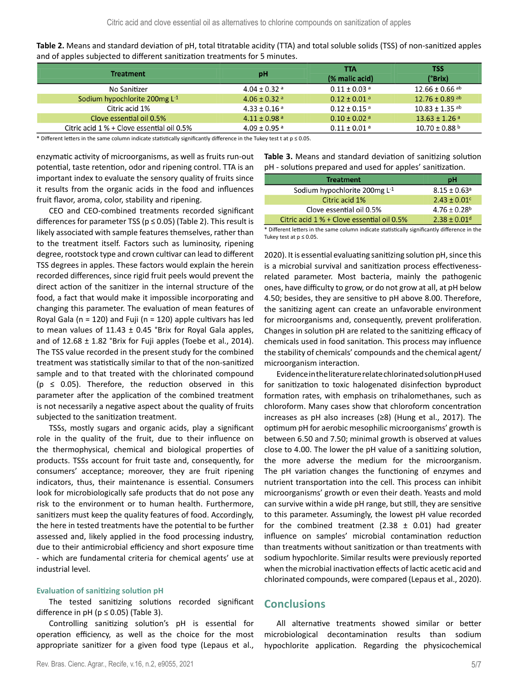| Table 2. Means and standard deviation of pH, total titratable acidity (TTA) and total soluble solids (TSS) of non-sanitized apples |
|------------------------------------------------------------------------------------------------------------------------------------|
| and of apples subjected to different sanitization treatments for 5 minutes.                                                        |

|                                              |                              | TTA                          | TSS                            |
|----------------------------------------------|------------------------------|------------------------------|--------------------------------|
| <b>Treatment</b>                             | рH                           | (% malic acid)               | (°Brix)                        |
| No Sanitizer                                 | $4.04 \pm 0.32$ <sup>a</sup> | $0.11 + 0.03$ <sup>a</sup>   | $12.66 \pm 0.66$ ab            |
| Sodium hypochlorite 200mg $L^1$              | $4.06 + 0.32$ <sup>a</sup>   | $0.12 + 0.01$ <sup>a</sup>   | $12.76 \pm 0.89$ <sup>ab</sup> |
| Citric acid 1%                               | $4.33 \pm 0.16$ <sup>a</sup> | $0.12 \pm 0.15$ <sup>a</sup> | $10.83 + 1.35$ <sup>ab</sup>   |
| Clove essential oil 0.5%                     | $4.11 \pm 0.98$ <sup>a</sup> | $0.10 \pm 0.02$ <sup>a</sup> | $13.63 \pm 1.26$ <sup>a</sup>  |
| Citric acid $1\%$ + Clove essential oil 0.5% | $4.09 \pm 0.95$ <sup>a</sup> | $0.11 \pm 0.01$ <sup>a</sup> | $10.70 \pm 0.88$ b             |

\* Different letters in the same column indicate statistically significantly difference in the Tukey test t at  $p \le 0.05$ .

enzymatic activity of microorganisms, as well as fruits run-out potential, taste retention, odor and ripening control. TTA is an important index to evaluate the sensory quality of fruits since it results from the organic acids in the food and influences fruit flavor, aroma, color, stability and ripening.

CEO and CEO-combined treatments recorded significant differences for parameter TSS ( $p \le 0.05$ ) (Table 2). This result is likely associated with sample features themselves, rather than to the treatment itself. Factors such as luminosity, ripening degree, rootstock type and crown cultivar can lead to different TSS degrees in apples. These factors would explain the herein recorded differences, since rigid fruit peels would prevent the direct action of the sanitizer in the internal structure of the food, a fact that would make it impossible incorporating and changing this parameter. The evaluation of mean features of Royal Gala ( $n = 120$ ) and Fuji ( $n = 120$ ) apple cultivars has led to mean values of  $11.43 \pm 0.45$  °Brix for Royal Gala apples, and of  $12.68 \pm 1.82$  °Brix for Fuji apples (Toebe et al., 2014). The TSS value recorded in the present study for the combined treatment was statistically similar to that of the non-sanitized sample and to that treated with the chlorinated compound ( $p \leq 0.05$ ). Therefore, the reduction observed in this parameter after the application of the combined treatment is not necessarily a negative aspect about the quality of fruits subjected to the sanitization treatment.

TSSs, mostly sugars and organic acids, play a significant role in the quality of the fruit, due to their influence on the thermophysical, chemical and biological properties of products. TSSs account for fruit taste and, consequently, for consumers' acceptance; moreover, they are fruit ripening indicators, thus, their maintenance is essential. Consumers look for microbiologically safe products that do not pose any risk to the environment or to human health. Furthermore, sanitizers must keep the quality features of food. Accordingly, the here in tested treatments have the potential to be further assessed and, likely applied in the food processing industry, due to their antimicrobial efficiency and short exposure time - which are fundamental criteria for chemical agents' use at industrial level.

### **Evaluation of sanitizing solution pH**

The tested sanitizing solutions recorded significant difference in pH ( $p \le 0.05$ ) (Table 3).

Controlling sanitizing solution's pH is essential for operation efficiency, as well as the choice for the most appropriate sanitizer for a given food type (Lepaus et al.,

Rev. Bras. Cienc. Agrar., Recife, v.16, n.2, e9055, 2021 5/7 and the state of the state of the state of the state of the state of the state of the state of the state of the state of the state of the state of the state of t

**Table 3.** Means and standard deviation of sanitizing solution pH - solutions prepared and used for apples' sanitization.

| <b>Treatment</b>                           | pH                           |
|--------------------------------------------|------------------------------|
| Sodium hypochlorite 200mg $L^{-1}$         | $8.15 \pm 0.63$ <sup>a</sup> |
| Citric acid 1%                             | $2.43 \pm 0.01$ <sup>c</sup> |
| Clove essential oil 0.5%                   | $4.76 \pm 0.28$ <sup>b</sup> |
| Citric acid 1 % + Clove essential oil 0.5% | $2.38 + 0.01d$               |

\* Different letters in the same column indicate statistically significantly difference in the Tukey test at  $p \leq 0.05$ .

2020). It is essential evaluating sanitizing solution pH, since this is a microbial survival and sanitization process effectivenessrelated parameter. Most bacteria, mainly the pathogenic ones, have difficulty to grow, or do not grow at all, at pH below 4.50; besides, they are sensitive to pH above 8.00. Therefore, the sanitizing agent can create an unfavorable environment for microorganisms and, consequently, prevent proliferation. Changes in solution pH are related to the sanitizing efficacy of chemicals used in food sanitation. This process may influence the stability of chemicals' compounds and the chemical agent/ microorganism interaction.

Evidence in the literature relate chlorinated solution pH used for sanitization to toxic halogenated disinfection byproduct formation rates, with emphasis on trihalomethanes, such as chloroform. Many cases show that chloroform concentration increases as pH also increases (≥8) (Hung et al., 2017). The optimum pH for aerobic mesophilic microorganisms' growth is between 6.50 and 7.50; minimal growth is observed at values close to 4.00. The lower the pH value of a sanitizing solution, the more adverse the medium for the microorganism. The pH variation changes the functioning of enzymes and nutrient transportation into the cell. This process can inhibit microorganisms' growth or even their death. Yeasts and mold can survive within a wide pH range, but still, they are sensitive to this parameter. Assumingly, the lowest pH value recorded for the combined treatment (2.38  $\pm$  0.01) had greater influence on samples' microbial contamination reduction than treatments without sanitization or than treatments with sodium hypochlorite. Similar results were previously reported when the microbial inactivation effects of lactic acetic acid and chlorinated compounds, were compared (Lepaus et al., 2020).

# **Conclusions**

All alternative treatments showed similar or better microbiological decontamination results than sodium hypochlorite application. Regarding the physicochemical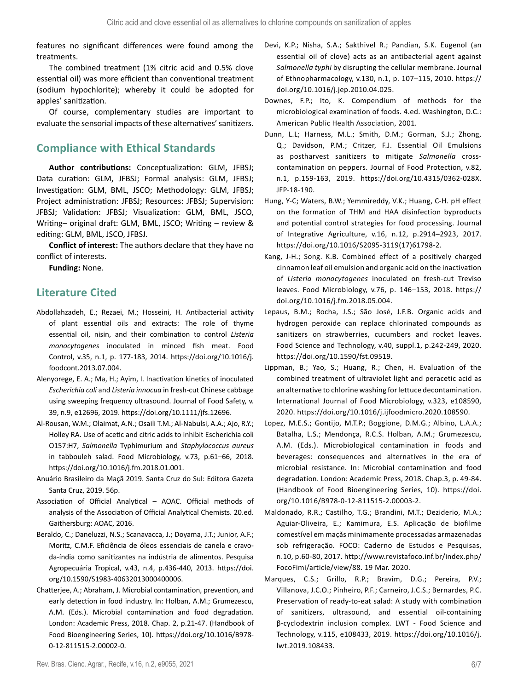features no significant differences were found among the treatments.

The combined treatment (1% citric acid and 0.5% clove essential oil) was more efficient than conventional treatment (sodium hypochlorite); whereby it could be adopted for apples' sanitization.

Of course, complementary studies are important to evaluate the sensorial impacts of these alternatives' sanitizers.

# **Compliance with Ethical Standards**

**Author contributions:** Conceptualization: GLM, JFBSJ; Data curation: GLM, JFBSJ; Formal analysis: GLM, JFBSJ; Investigation: GLM, BML, JSCO; Methodology: GLM, JFBSJ; Project administration: JFBSJ; Resources: JFBSJ; Supervision: JFBSJ; Validation: JFBSJ; Visualization: GLM, BML, JSCO, Writing– original draft: GLM, BML, JSCO; Writing – review & editing: GLM, BML, JSCO, JFBSJ.

**Conflict of interest:** The authors declare that they have no conflict of interests.

**Funding:** None.

# **Literature Cited**

- Abdollahzadeh, E.; Rezaei, M.; Hosseini, H. Antibacterial activity of plant essential oils and extracts: The role of thyme essential oil, nisin, and their combination to control *Listeria monocytogenes* inoculated in minced fish meat. Food Control, v.35, n.1, p. 177-183, 2014. https://doi.org[/10.1016/j.](https://doi.org/10.1016/j.foodcont.2013.07.004) [foodcont.2013.07.004.](https://doi.org/10.1016/j.foodcont.2013.07.004)
- Alenyorege, E. A.; Ma, H.; Ayim, I. Inactivation kinetics of inoculated *Escherichia coli* and *Listeria innocua* in fresh-cut Chinese cabbage using sweeping frequency ultrasound. Journal of Food Safety, v. 39, n.9, e12696, 2019. [https://doi.org/10.1111/jfs.12696.](https://doi.org/10.1111/jfs.12696)
- Al-Rousan, W.M.; Olaimat, A.N.; Osaili T.M.; Al-Nabulsi, A.A.; Ajo, R.Y.; Holley RA. Use of acetic and citric acids to inhibit Escherichia coli O157:H7, *Salmonella* Typhimurium and *Staphylococcus aureus* in tabbouleh salad. Food Microbiology, v.73, p.61–66, 2018. [https://doi.org/10.1016/j.fm.2018.01.001.](https://doi.org/10.1016/j.fm.2018.01.001)
- Anuário Brasileiro da Maçã 2019. Santa Cruz do Sul: Editora Gazeta Santa Cruz, 2019. 56p.
- Association of Official Analytical AOAC. Official methods of analysis of the Association of Official Analytical Chemists. 20.ed. Gaithersburg: AOAC, 2016.
- Beraldo, C.; Daneluzzi, N.S.; Scanavacca, J.; Doyama, J.T.; Junior, A.F.; Moritz, C.M.F. Eficiência de óleos essenciais de canela e cravoda-índia como sanitizantes na indústria de alimentos. Pesquisa Agropecuária Tropical, v.43, n.4, p.436-440, 2013. [https://doi.](https://doi.org/10.1590/S1983-40632013000400006) [org/10.1590/S1983-40632013000400006.](https://doi.org/10.1590/S1983-40632013000400006)
- Chatterjee, A.; Abraham, J. Microbial contamination, prevention, and early detection in food industry. In: Holban, A.M.; Grumezescu, A.M. (Eds.). Microbial contamination and food degradation. London: Academic Press, 2018. Chap. 2, p.21-47. (Handbook of Food Bioengineering Series, 10). [https://doi.org/10.1016/B978-](https://doi.org/10.1016/B978-0-12-811515-2.00002-0) [0-12-811515-2.00002-0](https://doi.org/10.1016/B978-0-12-811515-2.00002-0).
- Devi, K.P.; Nisha, S.A.; Sakthivel R.; Pandian, S.K. Eugenol (an essential oil of clove) acts as an antibacterial agent against *Salmonella typhi* by disrupting the cellular membrane. Journal of Ethnopharmacology, v.130, n.1, p. 107–115, 2010. [https://](https://doi.org/10.1016/j.jep.2010.04.025) [doi.org/10.1016/j.jep.2010.04.025](https://doi.org/10.1016/j.jep.2010.04.025).
- Downes, F.P.; Ito, K. Compendium of methods for the microbiological examination of foods. 4.ed. Washington, D.C.: American Public Health Association, 2001.
- Dunn, L.L; Harness, M.L.; Smith, D.M.; Gorman, S.J.; Zhong, Q.; Davidson, P.M.; Critzer, F.J. Essential Oil Emulsions as postharvest sanitizers to mitigate *Salmonella* crosscontamination on peppers. Journal of Food Protection, v.82, n.1, p.159-163, 2019. [https://doi.org/10.4315/0362-028X.](https://doi.org/10.4315/0362-028X.JFP-18-190) [JFP-18-190.](https://doi.org/10.4315/0362-028X.JFP-18-190)
- Hung, Y-C; Waters, B.W.; Yemmireddy, V.K.; Huang, C-H. pH effect on the formation of THM and HAA disinfection byproducts and potential control strategies for food processing. Journal of Integrative Agriculture, v.16, n.12, p.2914–2923, 2017. [https://doi.org/10.1016/S2095-3119\(17\)61798-2](https://doi.org/10.1016/S2095-3119(17)61798-2).
- Kang, J-H.; Song. K.B. Combined effect of a positively charged cinnamon leaf oil emulsion and organic acid on the inactivation of *Listeria monocytogenes* inoculated on fresh-cut Treviso leaves. Food Microbiology, v.76, p. 146–153, 2018. [https://](https://doi.org/10.1016/j.fm.2018.05.004) [doi.org/10.1016/j.fm.2018.05.004.](https://doi.org/10.1016/j.fm.2018.05.004)
- Lepaus, B.M.; Rocha, J.S.; São José, J.F.B. Organic acids and hydrogen peroxide can replace chlorinated compounds as sanitizers on strawberries, cucumbers and rocket leaves. Food Science and Technology, v.40, suppl.1, p.242-249, 2020. <https://doi.org/10.1590/fst.09519>.
- Lippman, B.; Yao, S.; Huang, R.; Chen, H. Evaluation of the combined treatment of ultraviolet light and peracetic acid as an alternative to chlorine washing for lettuce decontamination. International Journal of Food Microbiology, v.323, e108590, 2020. [https://doi.org/10.1016/j.ijfoodmicro.2020.108590.](https://doi.org/10.1016/j.ijfoodmicro.2020.108590)
- Lopez, M.E.S.; Gontijo, M.T.P.; Boggione, D.M.G.; Albino, L.A.A.; Batalha, L.S.; Mendonça, R.C.S. Holban, A.M.; Grumezescu, A.M. (Eds.). Microbiological contamination in foods and beverages: consequences and alternatives in the era of microbial resistance. In: Microbial contamination and food degradation. London: Academic Press, 2018. Chap.3, p. 49-84. (Handbook of Food Bioengineering Series, 10). [https://doi.](https://doi.org/10.1016/B978-0-12-811515-2.00003-2) [org/10.1016/B978-0-12-811515-2.00003-2.](https://doi.org/10.1016/B978-0-12-811515-2.00003-2)
- Maldonado, R.R.; Castilho, T.G.; Brandini, M.T.; Deziderio, M.A.; Aguiar-Oliveira, E.; Kamimura, E.S. Aplicação de biofilme comestível em maçãs minimamente processadas armazenadas sob refrigeração. FOCO: Caderno de Estudos e Pesquisas, n.10, p.60-80, 2017. [http://www.revistafoco.inf.br/index.php/](http://www.revistafoco.inf.br/index.php/FocoFimi/article/view/88) [FocoFimi/article/view/88](http://www.revistafoco.inf.br/index.php/FocoFimi/article/view/88). 19 Mar. 2020.
- Marques, C.S.; Grillo, R.P.; Bravim, D.G.; Pereira, P.V.; Villanova, J.C.O.; Pinheiro, P.F.; Carneiro, J.C.S.; Bernardes, P.C. Preservation of ready-to-eat salad: A study with combination of sanitizers, ultrasound, and essential oil-containing β-cyclodextrin inclusion complex. LWT - Food Science and Technology, v.115, e108433, 2019. [https://doi.org/10.1016/j.](https://doi.org/10.1016/j.lwt.2019.108433) [lwt.2019.108433.](https://doi.org/10.1016/j.lwt.2019.108433)